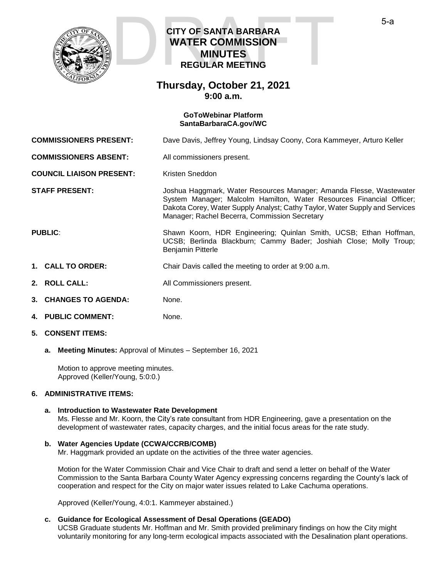

# **CITY OF SANTA BARBARA WATER COMMISSION MINUTES REGULAR MEETING CITY OF SANTA BARBARA<br>WATER COMMISSION<br>MINUTES<br>REGULAR MEETING**

# **Thursday, October 21, 2021 9:00 a.m.**

#### **GoToWebinar Platform [SantaBarbaraCA.gov/WC](https://www.santabarbaraca.gov/gov/brdcomm/nz/water/agendas.asp)**

**COMMISSIONERS PRESENT:** Dave Davis, Jeffrey Young, Lindsay Coony, Cora Kammeyer, Arturo Keller

**COMMISSIONERS ABSENT:** All commissioners present.

**COUNCIL LIAISON PRESENT:** Kristen Sneddon

**STAFF PRESENT:** Joshua Haggmark, Water Resources Manager; Amanda Flesse, Wastewater System Manager; Malcolm Hamilton, Water Resources Financial Officer; Dakota Corey, Water Supply Analyst; Cathy Taylor, Water Supply and Services Manager; Rachel Becerra, Commission Secretary

**PUBLIC:** Shawn Koorn, HDR Engineering; Quinlan Smith, UCSB; Ethan Hoffman, UCSB; Berlinda Blackburn; Cammy Bader; Joshiah Close; Molly Troup; Benjamin Pitterle

- **1. CALL TO ORDER:** Chair Davis called the meeting to order at 9:00 a.m.
- **2. ROLL CALL:** All Commissioners present.
- **3. CHANGES TO AGENDA:** None.
- **4. PUBLIC COMMENT:** None.
- **5. CONSENT ITEMS:**
	- **a. Meeting Minutes:** Approval of Minutes September 16, 2021

Motion to approve meeting minutes. Approved (Keller/Young, 5:0:0.)

### **6. ADMINISTRATIVE ITEMS:**

#### **a. Introduction to Wastewater Rate Development**

Ms. Flesse and Mr. Koorn, the City's rate consultant from HDR Engineering, gave a presentation on the development of wastewater rates, capacity charges, and the initial focus areas for the rate study.

#### **b. Water Agencies Update (CCWA/CCRB/COMB)**

Mr. Haggmark provided an update on the activities of the three water agencies.

Motion for the Water Commission Chair and Vice Chair to draft and send a letter on behalf of the Water Commission to the Santa Barbara County Water Agency expressing concerns regarding the County's lack of cooperation and respect for the City on major water issues related to Lake Cachuma operations.

Approved (Keller/Young, 4:0:1. Kammeyer abstained.)

#### **c. Guidance for Ecological Assessment of Desal Operations (GEADO)**

UCSB Graduate students Mr. Hoffman and Mr. Smith provided preliminary findings on how the City might voluntarily monitoring for any long-term ecological impacts associated with the Desalination plant operations.